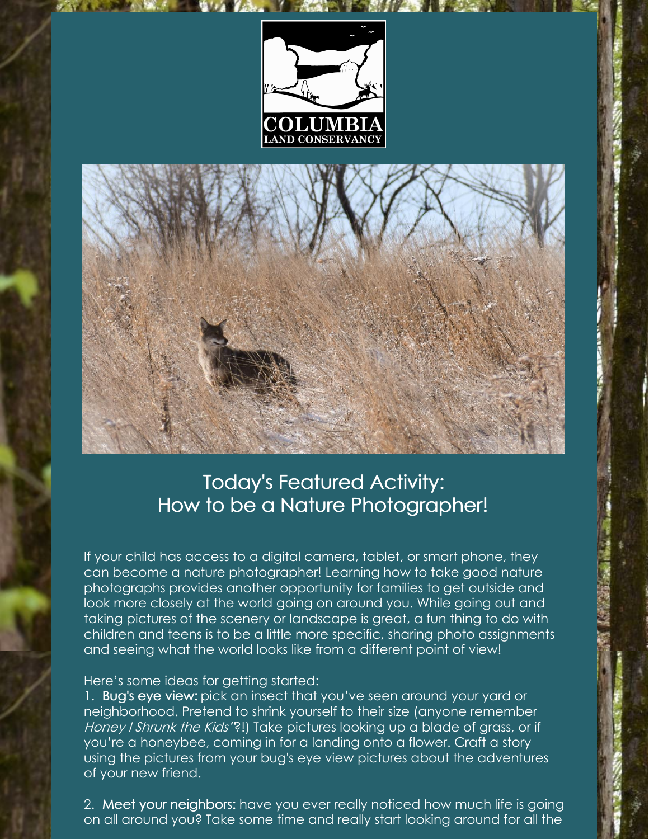



## Today's Featured Activity: How to be a Nature Photographer!

If your child has access to a digital camera, tablet, or smart phone, they can become a nature photographer! Learning how to take good nature photographs provides another opportunity for families to get outside and look more closely at the world going on around you. While going out and taking pictures of the scenery or landscape is great, a fun thing to do with children and teens is to be a little more specific, sharing photo assignments and seeing what the world looks like from a different point of view!

## Here's some ideas for getting started:

1. Bug's eye view: pick an insect that you've seen around your yard or neighborhood. Pretend to shrink yourself to their size (anyone remember Honey I Shrunk the Kids'?!) Take pictures looking up a blade of grass, or if you're a honeybee, coming in for a landing onto a flower. Craft a story using the pictures from your bug's eye view pictures about the adventures of your new friend.

2. Meet your neighbors: have you ever really noticed how much life is going on all around you? Take some time and really start looking around for all the